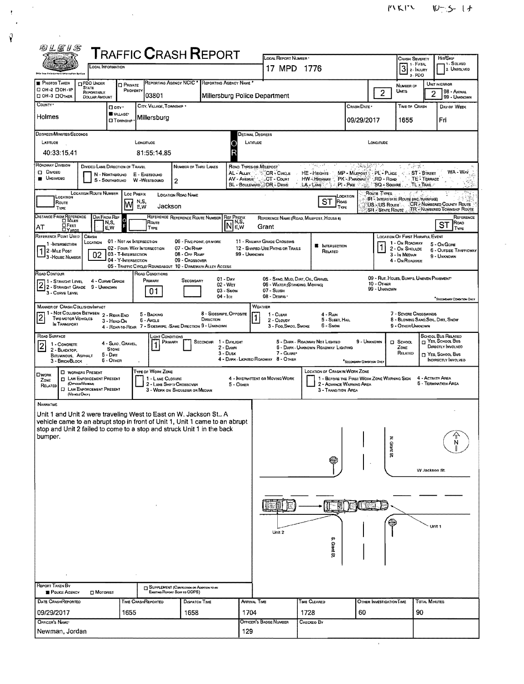| 四丛尾15                                                                                                                                                 |                                                                                                                                       |                                                        |                                       |                                                             |                                                                       |                                                                |                                          |                                             |                          |                                                             |                   |                                                                               |
|-------------------------------------------------------------------------------------------------------------------------------------------------------|---------------------------------------------------------------------------------------------------------------------------------------|--------------------------------------------------------|---------------------------------------|-------------------------------------------------------------|-----------------------------------------------------------------------|----------------------------------------------------------------|------------------------------------------|---------------------------------------------|--------------------------|-------------------------------------------------------------|-------------------|-------------------------------------------------------------------------------|
|                                                                                                                                                       | <b>T</b> RAFFIC <b>C</b> RASH <b>R</b> EPORT<br>Local Information                                                                     |                                                        |                                       |                                                             |                                                                       |                                                                | LOCAL REPORT NUMBER                      |                                             |                          | <b>CRASH SEVERITY</b><br>7 1 - Fatal                        |                   | Hir/SkiP<br>1 SOLVED                                                          |
| <b>This Law Falorgement Information Bytine</b>                                                                                                        |                                                                                                                                       |                                                        |                                       |                                                             |                                                                       | 17 MPD 1776                                                    |                                          |                                             |                          | $31.1$ MJURY<br>3. PDO                                      |                   | 2. UNSOLVED                                                                   |
| <b>PHOTOS TAKEN</b><br>□ 0H-2 □ 0H-1P                                                                                                                 | <b>CIPDO UNDER</b><br><b>STATE</b><br>REPORTABLE                                                                                      | <b>D</b> PRIVATE<br>PROPERTY                           | <b>REPORTING AGENCY NCIC *</b>        |                                                             | REPORTING AGENCY NAME                                                 |                                                                |                                          |                                             |                          | NUMBER OF<br>Units                                          |                   | UNIT IN ERROR<br>98 - ANIMAL                                                  |
| <b>CI OH-3 CIOTHER</b><br>COUNTY*                                                                                                                     | <b>DOLLAR AMOUNT</b>                                                                                                                  |                                                        | 03801                                 |                                                             |                                                                       | Millersburg Police Department                                  |                                          |                                             | $\overline{2}$           |                                                             | 2                 | 99 - UNKNOWN                                                                  |
|                                                                                                                                                       | □ cm·                                                                                                                                 | VILLAGE*                                               | CITY, VILLAGE, TOWNSHIP               |                                                             |                                                                       |                                                                |                                          | CRASH DATE                                  |                          | <b>TIME OF CRASH</b>                                        |                   | DAY OF WEEK                                                                   |
| Holmes                                                                                                                                                |                                                                                                                                       | <b>D</b> Township                                      | Millersburg                           |                                                             |                                                                       |                                                                |                                          | 09/29/2017                                  |                          | 1655                                                        |                   | Fri                                                                           |
| DEGREES/MINUTES/SECONDS                                                                                                                               |                                                                                                                                       |                                                        |                                       |                                                             |                                                                       | Decimal Degrees                                                |                                          |                                             |                          |                                                             |                   |                                                                               |
| Longmuoe<br>LATITUDE<br>LONGITUDE<br>LATITUDE<br>40:33:15.41<br>81:55:14.85<br>R                                                                      |                                                                                                                                       |                                                        |                                       |                                                             |                                                                       |                                                                |                                          |                                             |                          |                                                             |                   |                                                                               |
| ROADWAY DIVISION                                                                                                                                      |                                                                                                                                       |                                                        |                                       |                                                             |                                                                       |                                                                |                                          |                                             |                          |                                                             |                   |                                                                               |
| <b>Q</b> Divideo                                                                                                                                      | DIVIDED LANE DIRECTION OF TRAVEL<br>N - NORTHBOUND                                                                                    |                                                        | E - EASTBOUND                         | NUMBER OF THRU LANES                                        | AL - Auey                                                             | ROAD TYPES OR MILEPOST<br>CR-CIRCLE                            | المسترعة<br>HE-Hearts                    | 16.95<br>MP - MILEPOST PL - PLACE           |                          | 군중<br>ST-STREET                                             |                   | WA - Way                                                                      |
| <b>UNDIVIDED</b>                                                                                                                                      |                                                                                                                                       | S - SOUTHBOUND W-WESTBOUND                             |                                       | 2                                                           | AV - AVENUE                                                           | CT - Count<br>BL - BOULEVARD - DR - DRIVE                      | HW-Highway<br>$LA - LANE$                | PK - PARKWAY<br>$P1 - P$ ike                | RD - Road                | "SQ - SQUARE TL - TRAIL                                     | TE - TERRACE      |                                                                               |
| LOCATION                                                                                                                                              | <b>LOCATION ROUTE NUMBER</b><br>Route Types.<br>LOC PREFIX<br>LOCATION ROAD NAME<br>Location<br>IR - INTERSTATE ROUTE (INC. TURNPIKE) |                                                        |                                       |                                                             |                                                                       |                                                                |                                          |                                             |                          |                                                             |                   |                                                                               |
| ROUTE<br>TYPE                                                                                                                                         |                                                                                                                                       | N,S,<br>M<br>E,W                                       | Jackson                               |                                                             |                                                                       |                                                                | ST<br>ROAD<br>TYPE                       |                                             | US-US Route              |                                                             |                   | CR .- NUMBERED COUNTY ROUTE<br>SR - STATE ROUTE  TR - NUMBERED TOWNSHIP ROUTE |
| DISTANCE FROM REFERENCE                                                                                                                               | DIR FROM REF<br>N,S,                                                                                                                  |                                                        | Route                                 | REFERENCE REFERENCE ROUTE NUMBER                            | <b>REF PREFIX</b><br>$\sqrt{N}$ <sup>N<sub>,S</sub><sup>1</sup></sup> |                                                                | REFERENCE NAME (ROAD, MILEPOST, HOUSE #) |                                             |                          |                                                             |                   | REFERENCE<br>Road                                                             |
| E FEET<br>AT<br>REFERENCE POINT USED                                                                                                                  | E.W<br>CRASH                                                                                                                          |                                                        | TYPE                                  |                                                             | E,W                                                                   | Grant                                                          |                                          |                                             |                          | LOCATION OF FIRST HARMFUL EVENT                             |                   | ST<br><b>TYPE</b>                                                             |
| 1-INTERSECTION                                                                                                                                        | LOCATION                                                                                                                              | 01 - NOT AN INTERSECTION<br>02 - FOUR WAY INTERSECTION |                                       | 06 - FIVE-POINT, OR MORE<br>07 - On RAMP                    |                                                                       | 11 - RAILWAY GRADE CROSSING<br>12 - SHARED-USE PATHS OR TRAILS | <b>N</b> INTERSECTION                    |                                             |                          | 1 - On ROADWAY<br>2 - ON SHOULDE                            |                   | 5 - On Gone                                                                   |
| 2 - Mile Post<br>3 - HOUSE NUMBER                                                                                                                     | 02                                                                                                                                    | 03 - T-INTERSECTION<br>04 - Y-INTERSECTION             |                                       | 08 - Off RAMP<br>09 - Crossover                             |                                                                       | 99 - Unknown                                                   | RELATED                                  |                                             |                          | 3 - In Median<br>4 - ON ROADSIDE                            |                   | 6 - OUTSIDE TRAFFICWAY<br>9 - UNKNOWN                                         |
| ROAD CONTOUR                                                                                                                                          |                                                                                                                                       |                                                        | ROAD CONDITIONS                       | 05 - TRAFFIC CIRCLE/ ROUNDABOUT 10 - DRIVEWAY/ ALLEY ACCESS |                                                                       |                                                                |                                          |                                             |                          |                                                             |                   |                                                                               |
| 11 - Straight Level                                                                                                                                   | 4 - CURVE GRADE                                                                                                                       |                                                        | PRIMARY                               | SECONDARY                                                   | $01 - \text{Dry}$<br>02 - WET                                         | 06 - WATER (STANDING, MOVING)                                  | 05 - SAND, MUD, DIRT, OIL, GRAVEL        |                                             | 10 - OTHER               | 09 - RUT, HOLES, BUMPS, UNEVEN PAVEMENT*                    |                   |                                                                               |
| 22-STRAIGHT GRADE 9 - UNKNOWN<br>3 - CURVE LEVEL                                                                                                      |                                                                                                                                       |                                                        | 01                                    |                                                             | $03 -$ SNOW<br>04 - Ice                                               | 07 - SLUSH<br>08 - DEBRIS ·                                    |                                          |                                             | 99 - UNKNOWN             |                                                             |                   |                                                                               |
| MANNER OF CRASH COLLISION MPACT                                                                                                                       |                                                                                                                                       |                                                        |                                       |                                                             |                                                                       | WEATHER                                                        |                                          |                                             |                          |                                                             |                   | *SECONDARY CONDITION CHILY                                                    |
| TWO MOTOR VEHICLES                                                                                                                                    | 1 - Not Collision Between 2 - Rear-End<br>3 - HEAD-ON                                                                                 |                                                        | 5 - BACKING<br>6 - Avgle              | DIRECTION                                                   | 8 - SIDESWIPE, OPPOSITE                                               | $1 - C$ LEAR<br>2 - CLOUDY                                     | $4 - RAlN$<br>5 - SLEET, HAIL            |                                             |                          | 7 - SEVERE CROSSWINDS<br>8 - BLOWING SAND, SOIL, DIRT, SNOW |                   |                                                                               |
| IN TRANSPORT                                                                                                                                          |                                                                                                                                       |                                                        |                                       | 4 - REAR-TO-REAR 7 - SIDESWIPE, SAME DIRECTION 9 - UNKNOWN  |                                                                       | 3 - Fog, Smog, Smoke                                           | 6 - Snow                                 |                                             |                          | 9 - OTHER/UNKNDWN                                           |                   |                                                                               |
| ROAD SURFACE<br>1 - CONCRETE                                                                                                                          |                                                                                                                                       | 4 - Slao, Gravel,                                      | <b>LIGHT CONDITIONS</b><br>PRIMARY    |                                                             | SECONDAR 1 - DAYLIGHT                                                 |                                                                | 5 - DARK - ROADWAY NOT LIGHTED           | 9 - UNKNOWN                                 |                          | $\square$ School                                            |                   | SCHOOL BUS RELATED<br>NES, SCHOOL BUS                                         |
| 2<br>2 - BLACKTOP,<br><b>BITUMINOUS, ASPHALT</b>                                                                                                      | <b>STONE</b><br>5 - Datt                                                                                                              |                                                        |                                       |                                                             | 2 - Dawn<br>3 - Dusk                                                  | 7 - GLARE                                                      | 6 - DARK - UNKNOWN ROADWAY LIGHTING      |                                             |                          | ZONE<br>RELATED                                             |                   | DIRECTLY INVOLVED<br>T YES, SCHOOL BUS                                        |
| 3 - BRICK BLOCK                                                                                                                                       | 6 - OTHER                                                                                                                             |                                                        |                                       |                                                             |                                                                       | 4 - DARK - LIGHTED ROADWAY 8 - OTHER                           |                                          | *SECONDARY CONDITION ONLY                   |                          |                                                             |                   | INDIRECTLY INVOLVED                                                           |
| <b>LIWORK</b><br>ZONE                                                                                                                                 | <b>CI WORKERS PRESENT</b><br><b>CT LAW ENFORCEMENT PRESENT</b>                                                                        |                                                        | TYPE OF WORK ZONE<br>1 - LANE CLOSURE |                                                             |                                                                       | 4 - INTERMITTENT OR MOVING WORK                                | <b>LOCATION OF CRASH IN WORK ZONE</b>    | 1 - BEFORE THE FIRST WORK ZONE WARNING SIGN |                          |                                                             | 4 - ACTIVITY AREA |                                                                               |
| RELATED                                                                                                                                               | (OFFICER/VENCLE)<br><b>C LAW ENFORCEMENT PRESENT</b><br>(VEHICLE ONLY)                                                                |                                                        | 2 - LANE SHIFT/ CROSSOVER             | 3 - WORK ON SHOULDER OR MEDIAN                              | 5 - OTHER                                                             |                                                                | 3 - TRANSITION AREA                      | 2 - ADVANCE WARNING AREA                    |                          |                                                             |                   | 5 - TERMINATION AREA                                                          |
| NARRATNE                                                                                                                                              |                                                                                                                                       |                                                        |                                       |                                                             |                                                                       |                                                                |                                          |                                             |                          |                                                             |                   |                                                                               |
| Unit 1 and Unit 2 were traveling West to East on W. Jackson St., A                                                                                    |                                                                                                                                       |                                                        |                                       |                                                             |                                                                       |                                                                |                                          |                                             |                          |                                                             |                   |                                                                               |
| vehicle came to an abrupt stop in front of Unit 1, Unit 1 came to an abrupt<br>stop and Unit 2 failed to come to a stop and struck Unit 1 in the back |                                                                                                                                       |                                                        |                                       |                                                             |                                                                       |                                                                |                                          |                                             |                          |                                                             |                   |                                                                               |
| bumper.                                                                                                                                               |                                                                                                                                       |                                                        |                                       |                                                             |                                                                       |                                                                |                                          |                                             |                          |                                                             |                   | N                                                                             |
|                                                                                                                                                       |                                                                                                                                       |                                                        |                                       |                                                             |                                                                       |                                                                |                                          |                                             | N. Grant St              |                                                             |                   |                                                                               |
|                                                                                                                                                       |                                                                                                                                       |                                                        |                                       |                                                             |                                                                       |                                                                |                                          |                                             |                          |                                                             |                   |                                                                               |
|                                                                                                                                                       |                                                                                                                                       |                                                        |                                       |                                                             |                                                                       |                                                                |                                          |                                             |                          |                                                             | W Jackson St.     |                                                                               |
|                                                                                                                                                       |                                                                                                                                       |                                                        |                                       |                                                             |                                                                       |                                                                |                                          |                                             |                          |                                                             |                   |                                                                               |
|                                                                                                                                                       |                                                                                                                                       |                                                        |                                       |                                                             |                                                                       |                                                                |                                          |                                             |                          |                                                             |                   |                                                                               |
|                                                                                                                                                       |                                                                                                                                       |                                                        |                                       |                                                             |                                                                       |                                                                |                                          |                                             |                          |                                                             |                   |                                                                               |
|                                                                                                                                                       |                                                                                                                                       |                                                        |                                       |                                                             |                                                                       |                                                                |                                          |                                             |                          |                                                             | Unit 1            |                                                                               |
|                                                                                                                                                       |                                                                                                                                       |                                                        |                                       |                                                             |                                                                       | Unit 2                                                         | ç,                                       |                                             |                          |                                                             |                   |                                                                               |
|                                                                                                                                                       |                                                                                                                                       |                                                        |                                       |                                                             |                                                                       |                                                                | Grant St                                 |                                             |                          |                                                             |                   |                                                                               |
|                                                                                                                                                       |                                                                                                                                       |                                                        |                                       |                                                             |                                                                       |                                                                |                                          |                                             |                          |                                                             |                   |                                                                               |
|                                                                                                                                                       |                                                                                                                                       |                                                        |                                       |                                                             |                                                                       |                                                                |                                          |                                             |                          |                                                             |                   |                                                                               |
| REPORT TAKEN BY                                                                                                                                       |                                                                                                                                       |                                                        |                                       | <b>TE SUPPLEMENT (CORRECTION OR AGGETION TO AN</b>          |                                                                       |                                                                |                                          |                                             |                          |                                                             |                   |                                                                               |
| POLICE AGENCY                                                                                                                                         | MOTORIST                                                                                                                              |                                                        |                                       | EXISTING REPORT SENT TO ODPS)                               |                                                                       |                                                                |                                          |                                             |                          |                                                             |                   |                                                                               |
| <b>DATE CRASHREPORTED</b>                                                                                                                             |                                                                                                                                       | Time CrashReported                                     |                                       | DISPATCH TIME                                               |                                                                       | <b>ARRIVAL TIME</b>                                            | TIME CLEARED                             |                                             | OTHER INVESTIGATION TIME |                                                             | TOTAL MINUTES     |                                                                               |
| 09/29/2017<br>OFFICER'S NAME*                                                                                                                         |                                                                                                                                       | 1655                                                   |                                       | 1658                                                        |                                                                       | 1704<br>Officer's Badge Number                                 | 1728<br>Снескео Ву                       | 60                                          |                          | 90                                                          |                   |                                                                               |
| Newman, Jordan                                                                                                                                        |                                                                                                                                       |                                                        |                                       |                                                             |                                                                       | 129                                                            |                                          |                                             |                          |                                                             |                   |                                                                               |
|                                                                                                                                                       |                                                                                                                                       |                                                        |                                       |                                                             |                                                                       |                                                                |                                          |                                             |                          |                                                             |                   |                                                                               |

ţ

 $\hat{\mathbf{Y}}$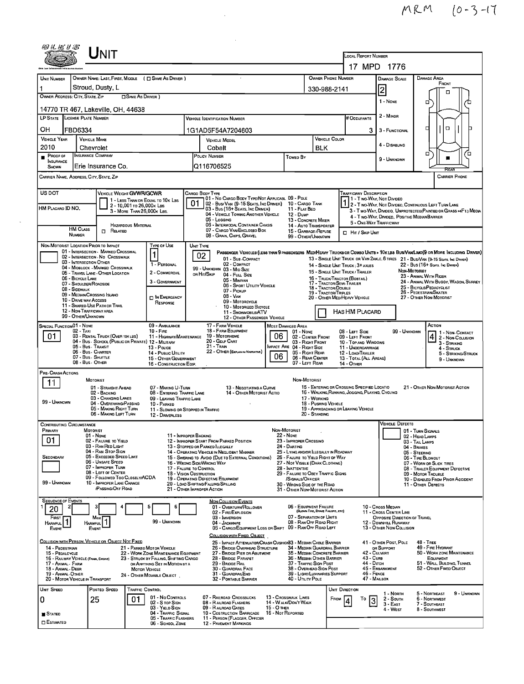|                                                                                                       | <b>I J</b> NIT                                                                                                                                                                                                                                                                                              |                                                                                                                                                                                                    |                                                                                                                                                                                                                                                                                                                                                 |                                                                                                                                                                                                                                                                                       |                                                                                  |                                                                                                                           |                                                                                                                                                                                        | LOCAL REPORT NUMBER                                                                                                                                   |                                                                                                                                  |                                                                                                                                                                                                                                                               |
|-------------------------------------------------------------------------------------------------------|-------------------------------------------------------------------------------------------------------------------------------------------------------------------------------------------------------------------------------------------------------------------------------------------------------------|----------------------------------------------------------------------------------------------------------------------------------------------------------------------------------------------------|-------------------------------------------------------------------------------------------------------------------------------------------------------------------------------------------------------------------------------------------------------------------------------------------------------------------------------------------------|---------------------------------------------------------------------------------------------------------------------------------------------------------------------------------------------------------------------------------------------------------------------------------------|----------------------------------------------------------------------------------|---------------------------------------------------------------------------------------------------------------------------|----------------------------------------------------------------------------------------------------------------------------------------------------------------------------------------|-------------------------------------------------------------------------------------------------------------------------------------------------------|----------------------------------------------------------------------------------------------------------------------------------|---------------------------------------------------------------------------------------------------------------------------------------------------------------------------------------------------------------------------------------------------------------|
|                                                                                                       |                                                                                                                                                                                                                                                                                                             |                                                                                                                                                                                                    |                                                                                                                                                                                                                                                                                                                                                 |                                                                                                                                                                                                                                                                                       |                                                                                  |                                                                                                                           |                                                                                                                                                                                        |                                                                                                                                                       | 17 MPD 1776                                                                                                                      |                                                                                                                                                                                                                                                               |
| UNIT NUMBER<br>OWNER ADDRESS: CITY, STATE, ZIP                                                        | OWNER NAME: LAST, FIRST, MIDDLE ( $\Box$ SAME AS DRIVER )<br>Stroud, Dusty, L<br>□ SAME AS DRIVER)                                                                                                                                                                                                          |                                                                                                                                                                                                    |                                                                                                                                                                                                                                                                                                                                                 |                                                                                                                                                                                                                                                                                       |                                                                                  | OWNER PHONE NUMBER<br>330-988-2141                                                                                        |                                                                                                                                                                                        | <b>DAMAGE SCALE</b><br>2                                                                                                                              | <b>DAMAGE AREA</b><br>FRONT<br>п                                                                                                 |                                                                                                                                                                                                                                                               |
|                                                                                                       |                                                                                                                                                                                                                                                                                                             |                                                                                                                                                                                                    |                                                                                                                                                                                                                                                                                                                                                 |                                                                                                                                                                                                                                                                                       |                                                                                  |                                                                                                                           |                                                                                                                                                                                        |                                                                                                                                                       | 1 - NONE                                                                                                                         | □                                                                                                                                                                                                                                                             |
|                                                                                                       | 14770 TR 467, Lakeville, OH, 44638<br>LP STATE LICENSE PLATE NUMBER                                                                                                                                                                                                                                         |                                                                                                                                                                                                    | <b>VEHICLE IDENTIFICATION NUMBER</b>                                                                                                                                                                                                                                                                                                            |                                                                                                                                                                                                                                                                                       |                                                                                  |                                                                                                                           |                                                                                                                                                                                        | # Occupants                                                                                                                                           | 2 - MINOR                                                                                                                        |                                                                                                                                                                                                                                                               |
| OН                                                                                                    | FBD6334                                                                                                                                                                                                                                                                                                     |                                                                                                                                                                                                    |                                                                                                                                                                                                                                                                                                                                                 |                                                                                                                                                                                                                                                                                       |                                                                                  |                                                                                                                           |                                                                                                                                                                                        | 3                                                                                                                                                     | 3 - FUNCTIONAL                                                                                                                   | $\Box$<br>□                                                                                                                                                                                                                                                   |
| <b>VEHICLE YEAR</b>                                                                                   | <b>VEHICLE MAKE</b>                                                                                                                                                                                                                                                                                         |                                                                                                                                                                                                    | 1G1AD5F54A7204603<br><b>VEHICLE COLOR</b><br><b>VEHICLE MODEL</b>                                                                                                                                                                                                                                                                               |                                                                                                                                                                                                                                                                                       |                                                                                  |                                                                                                                           |                                                                                                                                                                                        |                                                                                                                                                       |                                                                                                                                  |                                                                                                                                                                                                                                                               |
| 2010                                                                                                  | Chevrolet                                                                                                                                                                                                                                                                                                   | Cobalt                                                                                                                                                                                             |                                                                                                                                                                                                                                                                                                                                                 |                                                                                                                                                                                                                                                                                       |                                                                                  | <b>BLK</b>                                                                                                                |                                                                                                                                                                                        | 4 - DISABLING                                                                                                                                         |                                                                                                                                  |                                                                                                                                                                                                                                                               |
| PROOF OF<br><b>INSURANCE</b><br>SHOWN                                                                 | <b>INSURANCE COMPANY</b><br>Erie Insurance Co.                                                                                                                                                                                                                                                              |                                                                                                                                                                                                    | POLICY NUMBER<br>Towed By<br>Q116706525                                                                                                                                                                                                                                                                                                         |                                                                                                                                                                                                                                                                                       |                                                                                  |                                                                                                                           |                                                                                                                                                                                        |                                                                                                                                                       | 9 - UNKNOWN                                                                                                                      | о                                                                                                                                                                                                                                                             |
|                                                                                                       | CARRIER NAME, ADDRESS, CITY, STATE, ZIP                                                                                                                                                                                                                                                                     |                                                                                                                                                                                                    |                                                                                                                                                                                                                                                                                                                                                 |                                                                                                                                                                                                                                                                                       |                                                                                  |                                                                                                                           |                                                                                                                                                                                        |                                                                                                                                                       |                                                                                                                                  | <b>CARRIER PHONE</b>                                                                                                                                                                                                                                          |
| US DOT<br>HM PLACARO ID NO.                                                                           | VEHICLE WEIGHT GVWR/GCWR<br>1 - LESS THAN OR EQUAL TO 10K LBS<br>2 - 10,001 To 26,000 K Las<br>3 - MORE THAN 26,000K LBS.<br><b>HAZARDOUS MATERIAL</b><br><b>HM CLASS</b><br>$\Box$ Related<br>NUMBER                                                                                                       |                                                                                                                                                                                                    | CARGO BODY TYPE<br>01<br>05 - Loccinc                                                                                                                                                                                                                                                                                                           | 01 - No CARGO BODY TYPE/NOT APPLICABL 09 - POLE<br>  02 - Bus/ VAN (9-15 SEATS, INC DRIVER) 10 - CARGO TANK<br>03 - Bus (16+ Seats, Inc DRIVER)<br>04 - VEHICLE TOWING ANOTHER VEHICLE<br>06 - INTERMODAL CONTAINER CHASIS<br>07 - CARGO VAN/ENCLOSEO BOX<br>08 - GRAIN, CHPS, GRAVEL |                                                                                  | 11 - FLAT BEO<br>12 - Duve<br>13 - CONCRETE MIXER<br>14 - AUTO TRANSPORTER<br>15 - GARBAGE / REFUSE<br>99 - OTHER/UNKNOWN |                                                                                                                                                                                        | <b>TRAFFICWAY DESCRIPTION</b><br>5 - ONE-WAY TRAFFICWAY<br>□ Hit / Skip UNIT                                                                          | 11 - Two Way, Not Divideo<br>4 - Two-WAY, DIVIDED, POSITIVE MEDIANBARRIER                                                        | 2 - Two-Way, Not Divideo, Continuous Left Turn Lane<br>3 - Two-Way, Divideo, Unprotecteo(Painted or Grass >4Ft.) Meoia                                                                                                                                        |
|                                                                                                       | 03 - INTERSECTION OTHER<br>04 - MIDBLOCK - MARKED CROSSWALK<br>05 - TRAVEL LANE - OTHER LOCATION<br>06 - BICYCLE LANE<br>07 - Shoulder/Roadside<br>08 - SIDEWALK<br>09 - MEDIAN/CROSSING ISLANO<br>10 - DRIVE WAY ACCESS<br>11 - SHARED-USE PATH OR TRAIL<br>12 - NON-TRAFFICWAY AREA<br>99 - OTHER/UNKNOWN | 1 - PERSONAL<br>2 - COMMERCIAL<br>3 - GOVERNMENT<br>IN EMERGENCY<br>RESPONSE                                                                                                                       | 99 - UNKNOWN 03 - MID SIZE<br>OR HIT/SKIP                                                                                                                                                                                                                                                                                                       | 02 - COMPACT<br>04 - FULL SIZE<br>05 - Minivan<br>06 - Sport UTILITY VEHICLE<br>07 - PICKUP<br>08 - VAN<br>09 - MOTORCYCLE<br>10 - MOTORIZED BICYCLE<br>11 - SNOWMOBILE/ATV<br>12 - OTHER PASSENGER VEHICLE                                                                           |                                                                                  |                                                                                                                           | 17 - TRACTOR/SEMI-TRAILER<br>18 - TRACTOR/DOUBLE<br>19 - TRACTOR/TRIPLES                                                                                                               | 14 - SINGLE UNIT TRUCK; 3+ AXLES<br>15 - SINGLE UNIT TRUCK / TRAILER<br>16 - TRUCK/TRACTOR (BOBTAL)<br>20 - OTHER MED/HEAVY VEHICLE<br>HAS HM PLACARD |                                                                                                                                  | 22 - BUS (16+ SEATS, INC DRIVER)<br>NON-MOTORIST<br>23 - ANIMAL WITH RIDER<br>24 - ANIMAL WITH BUGGY, WAGON, SURREY<br>25 - BICYCLE/PEDACYCLIST<br>26 - PEDESTRIAN/SKATER<br>27 - OTHER NON-MOTORIST                                                          |
| SPECIAL FUNCTION 01 - NONE<br>01                                                                      | $02 - TAX$<br>03 - RENTAL TRUCK (OVER 10K LBS)<br>04 - Bus - SCHOOL (PUBLIC OR PRIVATE) 12 - MILITARY<br>05 - Bus - Transit<br>06 - Bus - Charter<br>07 - Bus - SHUTTLE<br>08 - Bus - OTHER                                                                                                                 | 09 - AMBULANCE<br>$10 -$ Fire<br>11 - HIGHWAY/MAINTENANCE<br>13 - Pouce<br>14 - PUBLIC UTILITY<br>15 - OTHER GDVERNMENT<br>16 - CONSTRUCTION EQIP.                                                 | 19 - Мотояноме<br>20 - Gdlf Cart<br>21 - Tran                                                                                                                                                                                                                                                                                                   | 17 - FARM VEHICLE<br>18 - FARM EQUIPMENT<br>22 - OTHER (EXPLAININ NARRATIVE)                                                                                                                                                                                                          | <b>MOST DAMAGED AREA</b><br>06<br>MPACT ARE 04 - RIGHT SIDE<br>06                | 01 - None<br>02 - CENTER FRONT<br>03 - RIGHT FRONT<br>05 - RIGHT REAR<br>06 - REAR CENTER<br>07 - LEFT REAR               |                                                                                                                                                                                        | 08 - LEFT SIDE<br>09 - LEFT FRONT<br>10 - TOP AND WINDOWS<br>11 - UNDERCARRIAGE<br>12 - LOAD/TRAILER<br>13 - TOTAL (ALL AREAS)<br>14 - Отнев          | 99 - UNKNOWN                                                                                                                     | ACTION<br>1 - Non-CONTACT<br>$\overline{4}$<br>2 - Non-Collision<br>3 - STRIKING<br>4 - STRUCK<br>5 - STRIKING/STRUCK<br>9 - UNKNOWN                                                                                                                          |
| PRE- CRASH ACTIONS<br>11<br>99 - UNKNOWN                                                              | <b>MOTORIST</b><br>01 - STRAIGHT AHEAD<br>02 - BACKING<br>03 - CHANGING LANES<br>04 - OVERTAKING/PASSING<br>05 - MAKING RIGHT TURN<br>06 - MAKING LEFT TURN                                                                                                                                                 | 07 - MAKING U-TURN<br>08 - ENTERING TRAFFIC LANE<br>09 - LEAVING TRAFFIC LANE<br>10 - PARKED<br>11 - Slowing or Stopped in Traffic<br>12 - DRIVERLESS                                              |                                                                                                                                                                                                                                                                                                                                                 | 13 - NEGOTIATING A CURVE<br>14 - OTHER MOTORIST ACTIO                                                                                                                                                                                                                                 |                                                                                  | NON-MOTORIST<br>17 - Working<br>20 - STANDING                                                                             | 18 - Pushing VEHICLE                                                                                                                                                                   | 15 - ENTERING OR CROSSING SPECIFIED LOCATIO<br>16 - WALKING, RUNNING, JOGGING, PLAYING, CYCLING<br>19 - APPROACHING DR LEAVING VEHICLE                |                                                                                                                                  | 21 - OTHER NON-MOTORIST ACTION                                                                                                                                                                                                                                |
| <b>CONTRIBUTING CIRCUMSTANCE</b><br>Primary<br>01<br>SECONDARY<br>99 - UNKNOWN                        | MOTORIST<br>01 - None<br>02 - FAILURE TO YIELD<br>03 - RAN RED LIGHT<br>04 - RAN STOP SIGN<br>05 - Exceeded Speed LIMIT<br>06 - UNSAFE SPEED<br>07 - IMPROPER TURN<br>08 - LEFT OF CENTER<br>09 - Followed Too CloselwACDA<br>10 - IMPROPER LANE CHANGE<br>PASSING/OFF ROAD                                 |                                                                                                                                                                                                    | 11 - IMPROPER BACKING<br>12 - IMPROPER START FROM PARKED POSITION<br>13 - STOPPED OR PARKED LLEGALLY<br>14 - OPERATING VEHICLE IN NEGLIGENT MANNER<br>16 - WRONG SIDE/WRONG WAY<br>17 - FALURE TO CONTROL<br>18 - VISION OBSTRUCTION<br>19 - OPERATING DEFECTIVE EQUIPMENT<br>20 - LOAD SHIFTING/FALLING/SPILLING<br>21 - OTHER IMPROPER ACTION | 15 - Swering to Avdid (Due to External Conditions)                                                                                                                                                                                                                                    | Non-Motorist<br><b>22 - NONE</b><br>24 - DARTING<br>28 - Inattentive             | 23 - IMPROPER CROSSING<br>/SIGNALS/OFFICER<br>30 - WRONG SIDE OF THE ROAD                                                 | 25 - LYING AND/OR LLEGALLY IN ROADWAY<br>26 - FALURE TO YIELD RIGHT OF WAY<br>27 - NOT VISIBLE (DARK CLOTHING)<br>29 - FAILURE TO OBEY TRAFFIC SIGNS<br>31 - OTHER NON-MOTORIST ACTION |                                                                                                                                                       | <b>VEHICLE DEFECTS</b>                                                                                                           | 01 - TURN SIGNALS<br>02 - HEAD LAMPS<br>03 - TAIL LAMPS<br>04 - BRAKES<br>05 - STEERING<br>06 - TIRE BLOWOUT<br>07 - WORN OR SLICK TIRES<br>08 - TRAILER EQUIPMENT DEFECTIVE<br>09 - MOTOR TROUBLE<br>10 - DISABLED FROM PRIOR ACCIDENT<br>11 - OTHER DEFECTS |
| <b>SEQUENCE OF EVENTS</b><br>20<br>FIRST<br><b>HARMFUL</b><br>EVENT                                   | Most<br>HARMFUL <sup>1</sup><br>EVENT                                                                                                                                                                                                                                                                       | 99 - UNKNOWN                                                                                                                                                                                       |                                                                                                                                                                                                                                                                                                                                                 | <b>NON-COLLISION EVENTS</b><br>01 - OVERTURN/ROLLOVER<br>02 - FIRE/EXPLOSION<br>03 - IMMERSION<br>04 - JACKKNIFE<br>05 - CARGO/EQUIPMENT LOSS OR SHIFT 09 - RAN OFF ROAD LEFT<br>COLLISION WITH FIXED, OBJECT                                                                         |                                                                                  | 06 - EQUIPMENT FAILURE<br>07 - SEPARATION OF UNITS<br>08 - RAN OFF ROAD RIGHT                                             | (BLOWN TIRE, BRAKE FAILURE, ETC)                                                                                                                                                       |                                                                                                                                                       | 10 - Cross Median<br>11 - Cross CENTER LINE<br>OPPOSITE DIRECTION OF TRAVEL<br>12 - DOWNHILL RUNAWAY<br>13 - OTHER NON-COLLISION |                                                                                                                                                                                                                                                               |
| 14 - PEDESTRIAN<br>15 - PEDALCYCLE<br>17 - ANIMAL - FARM<br>18 - Animal - Deer<br>19 - ANIMAL - OTHER | <u>COLLISION WITH PERSON, VEHICLE OR OBJECT NOT FIXED</u><br>16 - RAILWAY VEHICLE (TRAIN, ENGINE)<br>20 - MOTOR VEHICLE IN TRANSPORT                                                                                                                                                                        | 21 - PARKEO MOTOR VEHICLE<br>22 - WORK ZONE MAINTENANCE EQUIPMENT<br>23 - STRUCK BY FALLING, SHIFTING CARGO<br>OR ANYTHING SET IN MOTION BY A<br><b>MOTOR VEHICLE</b><br>24 - OTHER MOVABLE OBJECT |                                                                                                                                                                                                                                                                                                                                                 | 25 - IMPACT ATTENUATOR/CRASH CUSHION33 - MEDIAN CABLE BARRIER<br>26 - BRIDGE OVERHEAD STRUCTURE<br>27 - BRIDGE PIER OR ABUTMENT<br>28 - BRIDGE PARAPET<br>29 - BRIOGE RAIL<br>30 - GUARDRAIL FACE<br>31 - GUARDRAILEND<br>32 - PORTABLE BARRIER                                       |                                                                                  | 37 - TRAFFIC SIGN POST<br>40 - UTILITY POLE                                                                               | 34 - Median Guardrail Barrier<br>35 - MEDIAN CONCRETE BARRIER<br>36 - MEDIAN OTHER BARRIER<br>38 - OVERHEAD SIGN POST<br>39 - LIGHT/LUMINARIES SUPPORT                                 | <b>43 - CURB</b><br>44 - Оітсн<br>46 - FENCE                                                                                                          | 41 - OTHER POST, POLE<br>OR SUPPORT<br>42 - CULVERT<br>45 - EMBANKMENT<br>47 - MAILBOX                                           | <b>48 - TREE</b><br>49 - FIRE HYDRANT<br>50 - WORK ZONE MAINTENANCE<br>EQUIPMENT<br>51 - WALL, BUILDING, TUNNEL<br>52 - OTHER FIXED OBJECT                                                                                                                    |
| Unit Speed<br>0<br><b>STATED</b>                                                                      | POSTED SPEED<br>TRAFFIC CONTROL<br>25<br>01                                                                                                                                                                                                                                                                 | 01 - No CONTROLS<br>02 - S TOP SIGN<br>03 - YIELD SIGN<br>04 - TRAFFIC SIGNAL<br>05 - TRAFFIC FLASHERS                                                                                             | 09 - RAILROAD GATES                                                                                                                                                                                                                                                                                                                             | 07 - RAILROAD CROSSBUCKS<br>08 - RAILROAD FLASHERS<br>10 - Costruction Barricade<br>11 - PERSON (FLAGGER, OFFICER                                                                                                                                                                     | 13 - Crosswalk LINES<br>14 - WALK/DON'T WALK<br>15 - O THER<br>16 - Not Reported |                                                                                                                           | From                                                                                                                                                                                   | UNIT DIRECTION<br>Т٥<br>3                                                                                                                             | 1 - North<br>$2 -$ South<br>$3 - East$<br>4 - WEST                                                                               | 5 - Northeast<br>9 - UNKNOWN<br>6 - NORTHWEST<br>7 - SOUTHEAST<br>8 - SOUTHWEST                                                                                                                                                                               |

 $\label{eq:2.1} \frac{1}{\sqrt{2}}\int_{\mathbb{R}^3} \frac{1}{\sqrt{2}}\left(\frac{1}{\sqrt{2}}\right)^2\frac{1}{\sqrt{2}}\left(\frac{1}{\sqrt{2}}\right)^2\frac{1}{\sqrt{2}}\left(\frac{1}{\sqrt{2}}\right)^2.$ 

 $\label{eq:2.1} \frac{1}{\sqrt{2}}\int_{\mathbb{R}^3}\frac{1}{\sqrt{2}}\left(\frac{1}{\sqrt{2}}\right)^2\frac{1}{\sqrt{2}}\left(\frac{1}{\sqrt{2}}\right)^2\frac{1}{\sqrt{2}}\left(\frac{1}{\sqrt{2}}\right)^2\frac{1}{\sqrt{2}}\left(\frac{1}{\sqrt{2}}\right)^2.$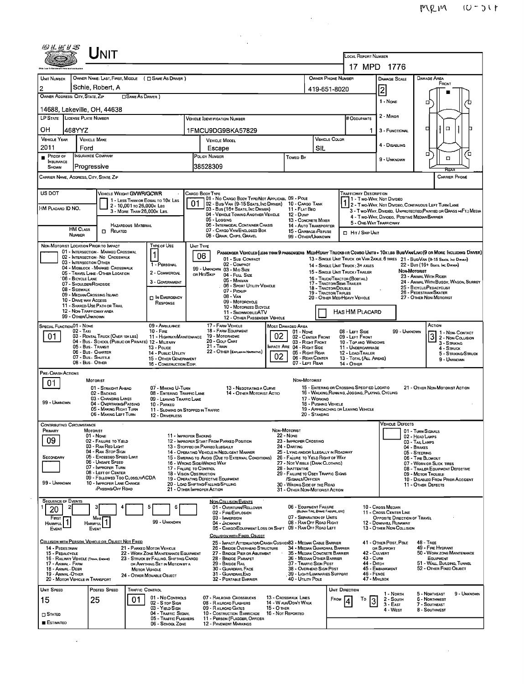$\mathcal{L}^{\text{max}}_{\text{max}}$  ,  $\mathcal{L}^{\text{max}}_{\text{max}}$ 

|                                           |                                                                                                  |                                                                                            |                                                                                                                                                         |                                                                                           |                                                                               |                                                                                                 |                                                       | MUM                                                                                         |                     |
|-------------------------------------------|--------------------------------------------------------------------------------------------------|--------------------------------------------------------------------------------------------|---------------------------------------------------------------------------------------------------------------------------------------------------------|-------------------------------------------------------------------------------------------|-------------------------------------------------------------------------------|-------------------------------------------------------------------------------------------------|-------------------------------------------------------|---------------------------------------------------------------------------------------------|---------------------|
|                                           |                                                                                                  |                                                                                            |                                                                                                                                                         |                                                                                           |                                                                               |                                                                                                 |                                                       |                                                                                             |                     |
|                                           |                                                                                                  |                                                                                            |                                                                                                                                                         |                                                                                           |                                                                               |                                                                                                 |                                                       |                                                                                             |                     |
|                                           | Unit                                                                                             |                                                                                            |                                                                                                                                                         |                                                                                           |                                                                               | LOCAL REPORT NUMBER                                                                             | 17 MPD 1776                                           |                                                                                             |                     |
| UNIT NUMBER                               |                                                                                                  | OWNER NAME: LAST, FIRST, MIDDLE ( C SAME AS DRIVER )                                       |                                                                                                                                                         |                                                                                           |                                                                               | OWNER PHONE NUMBER                                                                              | <b>DAMAGE SCALE</b>                                   | DAMAGE AREA                                                                                 |                     |
| 2                                         | Schie, Robert, A                                                                                 |                                                                                            |                                                                                                                                                         |                                                                                           |                                                                               | 419-651-8020                                                                                    | 2                                                     | FRONT                                                                                       |                     |
| OWNER ADDRESS: CITY, STATE, ZIP           |                                                                                                  | □ SAME AS DRIVER)                                                                          |                                                                                                                                                         |                                                                                           |                                                                               |                                                                                                 | 1 - NONE                                              | α                                                                                           |                     |
|                                           | 14688, Lakeville, OH, 44638<br>LP STATE LICENSE PLATE NUMBER                                     |                                                                                            | <b>VEHICLE IDENTIFICATION NUMBER</b>                                                                                                                    |                                                                                           |                                                                               | # Occupants                                                                                     | 2 - MINOR                                             |                                                                                             |                     |
| OН                                        | 468YYZ                                                                                           |                                                                                            | 1FMCU9DG9BKA57829                                                                                                                                       | 1                                                                                         | 3 - FUNCTIONAL                                                                | α<br>о                                                                                          |                                                       |                                                                                             |                     |
| <b>VEHICLE YEAR</b><br>2011               | <b>VEHICLE MAKE</b><br>Ford                                                                      |                                                                                            | VEHICLE MOOFL<br>Escape                                                                                                                                 | <b>VEHICLE COLOR</b><br>SIL                                                               | 4 - Disabling                                                                 |                                                                                                 |                                                       |                                                                                             |                     |
| PROOF OF<br><b>INSURANCE</b>              | INSURANCE COMPANY                                                                                |                                                                                            | POLICY NUMBER                                                                                                                                           | Toweo By                                                                                  |                                                                               |                                                                                                 | 9 - UNKNOWN                                           | α<br>$\Box$                                                                                 | ′ □                 |
| SHOWN                                     | Progressive<br>Carrier Name, Address, City, State, Zip                                           |                                                                                            | 38528309                                                                                                                                                |                                                                                           |                                                                               |                                                                                                 |                                                       | <b>CARRIER PHONE</b>                                                                        |                     |
|                                           |                                                                                                  |                                                                                            |                                                                                                                                                         |                                                                                           |                                                                               |                                                                                                 |                                                       |                                                                                             |                     |
| US DOT                                    |                                                                                                  | VEHICLE WEIGHT GVWR/GCWR<br>1 - LESS THAN OR EQUAL TO 10K LBS<br>2 - 10,001 To 26,000K Las | CARGO BODY TYPE<br>01 - No CARGO BODY TYPE/NOT APPLICABL 09 - POLE<br>02 - Bus/Van (9-15 Seats, Inc Driver) 10 - Cargo Tank                             |                                                                                           |                                                                               | <b>TRAFFICWAY DESCRIPTION</b>                                                                   |                                                       | 1 1 - Two-Way, Not Divided<br>1 2 - Two-Way, Not Divideo, Continuous Left Turn Lane         |                     |
| HM PLACARD ID NO.                         |                                                                                                  | 3 - MORE THAN 26,000K LBS.                                                                 | 03 - Bus (16+ SEATS, INC DRIVER)<br>04 - VEHICLE TOWING ANOTHER VEHICLE<br>05 - LOGGING                                                                 | 12 - Duwe                                                                                 | 11 - FLAT BED                                                                 |                                                                                                 | 4 - Two-Way, Divideo, Positive Median Barrier         | 3 - T WO-WAY, DIVIDED, UNPROTECTED (PAINTED OR GRASS > FT.) MEDIA                           |                     |
|                                           | <b>HM CLASS</b><br>$\Box$ Related                                                                | Hazardous Material                                                                         | 06 - INTERMODAL CONTAINER CHASIS<br>07 - CARGO VAN ENCLOSED BOX                                                                                         |                                                                                           | 13 - CONCRETE MIXER<br>14 - AUTO TRANSPORTER<br>15 - GARBAGE /REFUSE          | <b>El Hit / Skip Unit</b>                                                                       | 5 - ONE-WAY TRAFFICWAY                                |                                                                                             |                     |
|                                           | <b>NUMBER</b><br>NON-MOTORIST LOCATION PRIOR TO IMPACT                                           | TYPE OF USE                                                                                | 08 - GRAIN, CHIPS, GRAVEL<br>UNIT TYPE                                                                                                                  |                                                                                           | 99 - OTHER/UNKNDWN                                                            |                                                                                                 |                                                       |                                                                                             |                     |
|                                           | 01 - INTERSECTION - MARKED CROSSWAL<br>02 - INTERSECTION - NO CROSSWALK                          | $\mathbf{1}$                                                                               | PASSENGER VEHICLES (LESS THAN 9 PASSENGERS MED/HEAVY TRUCKS OR COMBO UNITS » 10K LES BUS/VAN/LIMO(9 OR MORE INCLUDING DRIVER)<br>06<br>01 - Sub COMPACT |                                                                                           |                                                                               | 13 - SINGLE UNIT TRUCK OR VAN ZAXLE, 6 TIRES 21 - BUS/VAN (9-15 SEATS, INC DRIVER)              |                                                       |                                                                                             |                     |
|                                           | 03 - INTERSECTION OTHER<br>04 - MIDBLOCK - MARKED CROSSWALK<br>05 - TRAVEL LANE - OTHER LOCATION | 1 - PERSONAL<br>2 - COMMERCIAL                                                             | 02 - COMPACT<br>99 - UNKNOWN 03 - MID SIZE<br>ов Ніт/Skip<br>04 - FULL SIZE                                                                             |                                                                                           |                                                                               | 14 - SINGLE UNIT TRUCK: 3+ AXLES<br>15 - SINGLE UNIT TRUCK / TRAILER                            |                                                       | 22 - BUS (16+ SEATS, INC DRIVER)<br>NON-MOTORIST                                            |                     |
|                                           | 06 - BICYCLE LANE<br>07 - SHOULDER/ROADSIDE<br>08 - SIDEWALK                                     | 3 - GOVERNMENT                                                                             | 05 - MINIVAN<br>06 - SPORT UTILITY VEHICLE                                                                                                              |                                                                                           |                                                                               | 16 - TRUCK/TRACTOR (BOBTAIL)<br>17 - TRACTOR/SEMI-TRAILER<br>18 - TRACTOR/DOUBLE                |                                                       | 23 - ANIMAL WITH RIDER<br>24 - ANIMAL WITH BUGGY, WAGON, SURREY<br>25 - BICYCLE/PEDACYCLIST |                     |
|                                           | 09 - MEDIAN/CROSSING ISLAND<br>10 - DRIVE WAY ACCESS                                             | IN EMERGENCY<br>RESPONSE                                                                   | 07 - Pickup<br>$08 - V_{AN}$<br>09 - MOTORCYCLE                                                                                                         |                                                                                           |                                                                               | 19 - TRACTOR/TRIPLES<br>20 - OTHER MED/HEAVY VEHICLE                                            |                                                       | 26 - PEDESTRIAN/SKATER<br>27 - OTHER NON-MOTORIST                                           |                     |
|                                           | 11 - SHARED-USE PATH OR TRAIL<br>12 - NON-TRAFFICWAY AREA<br>99 - OTHER/UNKNOWN                  |                                                                                            | 10 - MOTORIZED BICYCLE<br>11 - SNOWMOBILE/ATV                                                                                                           |                                                                                           |                                                                               | <b>HAS HM PLACARD</b>                                                                           |                                                       |                                                                                             |                     |
| SPECIAL FUNCTION 01 - NONE                | 02 - TAXI                                                                                        | 09 - AMBULANCE<br>$10 -$ Fine                                                              | 12 - OTHER PASSENGER VEHICLE<br>17 - FARM VEHICLE<br>18 - FARM EQUIPMENT                                                                                | <b>MOST DAMAGED AREA</b>                                                                  |                                                                               | 08 - LEFT SIDE                                                                                  | 99 - UNKNOWN                                          | ACTION                                                                                      |                     |
| 01                                        | 03 - RENTAL TRUCK (OVER 10KLBS)                                                                  | 11 - HIGHWAY/MAINTENANCE<br>04 - Bus - SCHOOL (PUBLIC OR PRIVATE) 12 - MILITARY            | 19 - Мотопноме<br>20 - Golf Cart                                                                                                                        | 02 <sub>1</sub>                                                                           | $01 - None$<br>02 - CENTER FRONT<br>03 - RIGHT FRONT                          | 09 - LEFT FRONT<br>10 - TOP AND WINDOWS                                                         |                                                       | 1 1 - Non-Contact<br>3 - STRIKING                                                           | 2 - Non-Collision   |
|                                           | 05 - Bus - Transit<br>06 - Bus - Charter<br>07 - Bus - SHUTTLE                                   | 13 - POLICE<br>14 - PUBLIC UTILITY<br>15 - OTHER GOVERNMENT                                | 21 - Tran<br>22 - OTHER (EXPLAIN IN NARRATIVE)                                                                                                          | MPACT ARE 04 - RIGHT SIDE<br>02 <sub>2</sub>                                              | 05 - RIGHT REAR<br>06 - REAR CENTER                                           | 11 - UNDERCARRIAGE<br>12 - LOAD/TRAILER<br>13 - TOTAL (ALL AREAS)                               |                                                       | $4 -$ STRUCK<br>9 - UNKNOWN                                                                 | 5 - STRIKING/STRUCK |
| PRE- CRASH ACTIONS                        | 08 - Bus - Other                                                                                 | 16 - CONSTRUCTION EOIP.                                                                    |                                                                                                                                                         |                                                                                           | 07 - LEFT REAR                                                                | 14 - Отнев                                                                                      |                                                       |                                                                                             |                     |
| 01                                        | MOTORIST                                                                                         |                                                                                            |                                                                                                                                                         |                                                                                           | NON-MOTORIST                                                                  |                                                                                                 |                                                       |                                                                                             |                     |
|                                           | 01 - Straight Ahead<br>02 - BACKING<br>03 - CHANGING LANES                                       | 07 - Making U-1 urn<br>08 - ENTERING TRAFFIC LANE<br>09 - LEAVING TRAFFIC LANE             | 3 - Negotiating a Curve<br>14 - OTHER MOTORIST ACTIO                                                                                                    |                                                                                           | 17 - WORKING                                                                  | 15 - ENTERING OR CROSSING SPECIFIED LOCATIO<br>16 - WALKING, RUNNING, JOGGING, PLAYING, CYCLING |                                                       | ZI - UTHER NON-MOTORIST ACTION                                                              |                     |
| 99 - UNKNOWN                              | 04 - OVERTAKING/PASSING<br>05 - MAKING RIGHT TURN<br>06 - MAKING LEFT TURN                       | 10 - PARKED<br>11 - Slowing or Stopped in Traffic<br>12 - DRIVERLESS                       |                                                                                                                                                         |                                                                                           | 18 - PUSHING VEHICLE<br>20 - STANDING                                         | 19 - APPROACHING OR LEAVING VEHICLE                                                             |                                                       |                                                                                             |                     |
| <b>CONTRIBUTING CIRCUMSTANCE</b>          |                                                                                                  |                                                                                            |                                                                                                                                                         |                                                                                           |                                                                               |                                                                                                 | <b>VEHICLE DEFECTS</b>                                |                                                                                             |                     |
| PRIMARY<br>09                             | MOTORIST<br>$01 - None$<br>02 - FAILURE TO YIELD                                                 | 11 - IMPROPER BACKING                                                                      | 12 - IMPROPER START FROM PARKED POSITION                                                                                                                | NON-MOTORIST<br><b>22 - NONE</b><br>23 - IMPROPER CRDSSING                                |                                                                               |                                                                                                 |                                                       | 01 - TURN SIGNALS<br>02 - HEAD LAMPS<br>03 - TAIL LAMPS                                     |                     |
| SECONDARY                                 | 03 - RAN RED LIGHT<br>04 - RAN STOP SIGN<br>05 - Exceepeo Speep LIMIT                            |                                                                                            | 13 - STOPPEO OR PARKEO ILLEGALLY<br>14 - OPERATING VEHICLE IN NEGLIGENT MANNER                                                                          | 24 - DARTING                                                                              |                                                                               | 25 - LYING AND/OR ILLEGALLY IN ROADWAY                                                          |                                                       | 04 - BRAKES<br>05 - STEERING                                                                |                     |
|                                           | 06 - UNSAFE SPEED<br>07 - IMPROPER TURN                                                          | 17 - FALURE TO CONTROL                                                                     | 15 - SWERING TO AVOID (DUE TO EXTERNAL CONDITIONS)<br>16 - WRONG SIDE/WRONG WAY                                                                         | 26 - FALURE TO YIELD RIGHT OF WAY<br>27 - NOT VISIBLE (DARK CLOTHING)<br>28 - INATTENTIVE |                                                                               |                                                                                                 |                                                       | 06 - TIRE BLOWOUT<br>07 - WORN OR SLICK TIRES<br>08 - TRAILER EQUIPMENT DEFECTIVE           |                     |
| 99 - UNKNOWN                              | 08 - LEFT OF CENTER<br>09 - FOLLOWED TOO CLOSELY/ACDA<br>10 - IMPROPER LANE CHANGE               |                                                                                            | 18 - VISION OBSTRUCTION<br>19 - OPERATING DEFECTIVE EQUIPMENT<br>20 - LOAD SHIFTING/FALLING/SPILLING                                                    | 29 - FAILURE TO OBEY TRAFFIC SIGNS<br>30 - WRONG SIDE OF THE ROAD                         | /SIGNALS/OFFICER                                                              |                                                                                                 |                                                       | 09 - MOTOR TROUBLE<br>10 - DISABLEO FROM PRIOR ACCIDENT<br>11 - OTHER DEFECTS               |                     |
|                                           | <b>PASSING/OFF ROAD</b>                                                                          |                                                                                            | 21 - OTHER IMPROPER ACTION                                                                                                                              | 31 - OTHER NON-MOTORIST ACTION                                                            |                                                                               |                                                                                                 |                                                       |                                                                                             |                     |
| <b>SEQUENCE OF EVENTS</b><br>20           |                                                                                                  | 5<br>6                                                                                     | <b>NON-COLLISION EVENTS</b><br>01 - Overturn/Rollover                                                                                                   |                                                                                           | 06 - EQUIPMENT FAILURE<br>(BLOWN TIRE, BRAKE FAILURE, ETC)                    |                                                                                                 | 10 - Cross Median<br>11 - Cross CENTER LINE           |                                                                                             |                     |
| FIRST<br>$\mathbf{1}$<br><b>HARMFUL</b>   | Most<br><b>Harmful</b>                                                                           | 99 - UNKNOWN                                                                               | 02 - FIRE/EXPLOSION<br>03 - IMMERSION<br>04 - JACKKNIFE                                                                                                 |                                                                                           | 07 - SEPARATION OF UNITS<br>08 - RAN OFF RDAD RIGHT                           |                                                                                                 | OPPOSITE DIRECTION OF TRAVEL<br>12 - DOWNHILL RUNAWAY |                                                                                             |                     |
| EVENT                                     | EVENT                                                                                            |                                                                                            | 05 - CARGO/EOUIPMENT LOSS OR SHIFT 09 - RAN OFF RDAD LEFT<br>COLLISION WITH FIXED, OBJECT                                                               |                                                                                           |                                                                               |                                                                                                 | 13 - OTHER NON-COLLISION                              |                                                                                             |                     |
| 14 - PEDESTRIAN<br>15 - PEDALCYCLE        | COLLISION WITH PERSON, VEHICLE OR OBJECT NOT EXED                                                | 21 - PARKED MOTOR VEHICLE<br>22 - WORK ZONE MAINTENANCE EQUIPMENT                          | 25 - IMPACT ATTENUATOR/CRASH CUSHION33 - MEDIAN CABLE BARRIER<br>26 - BRIDGE OVERHEAD STRUCTURE<br>27 - BRIDGE PIER OR ABUTMENT                         |                                                                                           |                                                                               | 34 - MEDIAN GUARDRAIL BARRIER<br>35 - MEDIAN CONCRETE BARRIER                                   | 41 - Other Post, Pole<br>OR SUPPORT<br>42 - CULVERT   | 48 - TREE<br>49 - FIRE HYDRANT<br>50 - WORK ZONE MAINTENANCE                                |                     |
| 17 - Animal - Farm                        | 16 - RAILWAY VEHICLE (TRAIN, ENGINE)                                                             | 23 - STRUCK BY FALLING, SHIFTING CARGO<br>OR ANYTHING SET IN MOTION BY A                   | 28 - Bridge Parapet<br>29 - Bridge Rail                                                                                                                 |                                                                                           | 36 - Median Other Barrier<br>37 - Traffic Sign Post                           | 43 - Cuna<br>44 - Опсн                                                                          |                                                       | EQUIPMENT<br>51 - WALL, BUILDING, TUNNEL                                                    |                     |
| 18 - Animal - Deer<br>19 - ANIMAL - OTHER | 20 - MOTOR VEHICLE IN TRANSPORT                                                                  | <b>MOTOR VEHICLE</b><br>24 - OTHER MOVABLE OBJECT                                          | 30 - GUARDRAIL FACE<br>31 - GuardrailEnd<br>32 - PORTABLE BARRIER                                                                                       |                                                                                           | 38 - Overhead Sign Post<br>39 - LIGHT/LUMINARIES SUPPORT<br>40 - UTILITY POLE | 46 - FENCE                                                                                      | 45 - Емванкмент<br>47 - MAILBOX                       | 52 - OTHER FIXED OBJECT                                                                     |                     |
| UNIT SPEED                                | POSTED SPEED                                                                                     | TRAFFIC CONTROL                                                                            |                                                                                                                                                         |                                                                                           |                                                                               | UNIT DIRECTION                                                                                  | 1 - North                                             | 5 - NORTHEAST                                                                               | 9 - UNKNOWN         |
| 15                                        | 25                                                                                               | 01 - No CONTROLS<br>01<br>02 - S TOP SIGN<br>03 - YIELD SIGN                               | 07 - RAILROAD CROSSBUCKS<br>08 - RAILROAD FLASHERS<br>09 - RAILROAD GATES                                                                               | 13 - CROSSWALK LINES<br>14 - W ALK/DDN'T WALK<br>15 - О тнев                              |                                                                               | То<br>FROM                                                                                      | 2 - South<br>$3 - E$ AST                              | 6 - NORTHWEST<br>7 - SOUTHEAST                                                              |                     |
| $\square$ Stated<br><b>ESTIMATEO</b>      |                                                                                                  | 04 - TRAFFIC SIGNAL<br>05 - TRAFFIC FLASHERS                                               | 10 - COSTRUCTION BARRICADE 16 - NOT REPORTED<br>11 - PERSON (FLAGGER, OFFICER                                                                           |                                                                                           |                                                                               |                                                                                                 | 4 WEST                                                | 8 - Southwest                                                                               |                     |
|                                           |                                                                                                  | 06 - SCHOOL ZONE                                                                           | 12 - PAVEMENT MARKINGS                                                                                                                                  |                                                                                           |                                                                               |                                                                                                 |                                                       |                                                                                             |                     |

 $\mathcal{L}^{\text{max}}_{\text{max}}$  and  $\mathcal{L}^{\text{max}}_{\text{max}}$